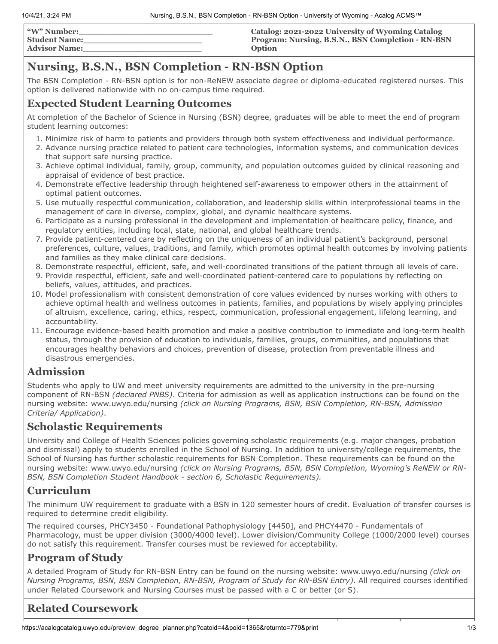| <b>"W" Number:</b>   | Catalog: 2021-2022 University of Wyoming Catalog  |
|----------------------|---------------------------------------------------|
| <b>Student Name:</b> | Program: Nursing, B.S.N., BSN Completion - RN-BSN |
| <b>Advisor Name:</b> | <b>Option</b>                                     |

# **Nursing, B.S.N., BSN Completion - RN-BSN Option**

The BSN Completion - RN-BSN option is for non-ReNEW associate degree or diploma-educated registered nurses. This option is delivered nationwide with no on-campus time required.

## **Expected Student Learning Outcomes**

At completion of the Bachelor of Science in Nursing (BSN) degree, graduates will be able to meet the end of program student learning outcomes:

- 1. Minimize risk of harm to patients and providers through both system effectiveness and individual performance.
- 2. Advance nursing practice related to patient care technologies, information systems, and communication devices that support safe nursing practice.
- 3. Achieve optimal individual, family, group, community, and population outcomes guided by clinical reasoning and appraisal of evidence of best practice.
- 4. Demonstrate effective leadership through heightened self-awareness to empower others in the attainment of optimal patient outcomes.
- 5. Use mutually respectful communication, collaboration, and leadership skills within interprofessional teams in the management of care in diverse, complex, global, and dynamic healthcare systems.
- 6. Participate as a nursing professional in the development and implementation of healthcare policy, finance, and regulatory entities, including local, state, national, and global healthcare trends.
- 7. Provide patient-centered care by reflecting on the uniqueness of an individual patient's background, personal preferences, culture, values, traditions, and family, which promotes optimal health outcomes by involving patients and families as they make clinical care decisions.
- 8. Demonstrate respectful, efficient, safe, and well-coordinated transitions of the patient through all levels of care.
- 9. Provide respectful, efficient, safe and well-coordinated patient-centered care to populations by reflecting on beliefs, values, attitudes, and practices.
- 10. Model professionalism with consistent demonstration of core values evidenced by nurses working with others to achieve optimal health and wellness outcomes in patients, families, and populations by wisely applying principles of altruism, excellence, caring, ethics, respect, communication, professional engagement, lifelong learning, and accountability.
- 11. Encourage evidence-based health promotion and make a positive contribution to immediate and long-term health status, through the provision of education to individuals, families, groups, communities, and populations that encourages healthy behaviors and choices, prevention of disease, protection from preventable illness and disastrous emergencies.

### **Admission**

Students who apply to UW and meet university requirements are admitted to the university in the pre-nursing component of RN-BSN *(declared PNBS)*. Criteria for admission as well as application instructions can be found on the nursing website: www.uwyo.edu/nursing *(click on Nursing Programs, BSN, BSN Completion, RN-BSN, Admission Criteria/ Application)*.

#### **Scholastic Requirements**

University and College of Health Sciences policies governing scholastic requirements (e.g. major changes, probation and dismissal) apply to students enrolled in the School of Nursing. In addition to university/college requirements, the School of Nursing has further scholastic requirements for BSN Completion. These requirements can be found on the nursing website: www.uwyo.edu/nursing *(click on Nursing Programs, BSN, BSN Completion, Wyoming's ReNEW or RN-BSN, BSN Completion Student Handbook - section 6, Scholastic Requirements).*

# **Curriculum**

The minimum UW requirement to graduate with a BSN in 120 semester hours of credit. Evaluation of transfer courses is required to determine credit eligibility.

The required courses, PHCY3450 - Foundational Pathophysiology [4450], and PHCY4470 - Fundamentals of Pharmacology, must be upper division (3000/4000 level). Lower division/Community College (1000/2000 level) courses do not satisfy this requirement. Transfer courses must be reviewed for acceptability.

# **Program of Study**

A detailed Program of Study for RN-BSN Entry can be found on the nursing website: www.uwyo.edu/nursing *(click on Nursing Programs, BSN, BSN Completion, RN-BSN, Program of Study for RN-BSN Entry)*. All required courses identified under Related Coursework and Nursing Courses must be passed with a C or better (or S).

# **Related Coursework**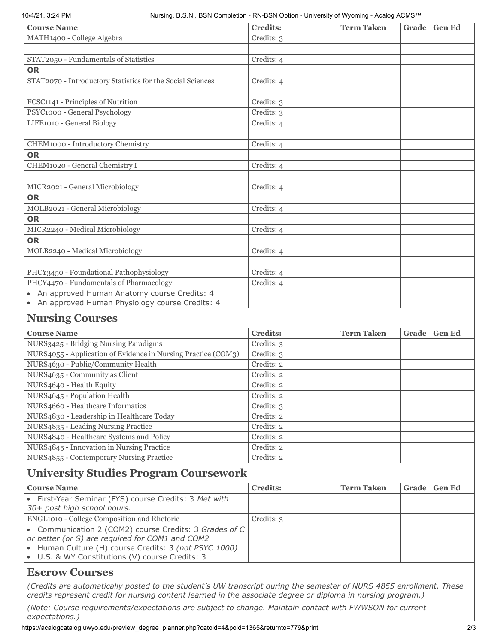#### 10/4/21, 3:24 PM Nursing, B.S.N., BSN Completion - RN-BSN Option - University of Wyoming - Acalog ACMS™

| <b>Course Name</b>                                            | <b>Credits:</b> | <b>Term Taken</b> |       | Grade Gen Ed  |
|---------------------------------------------------------------|-----------------|-------------------|-------|---------------|
| MATH1400 - College Algebra                                    | Credits: 3      |                   |       |               |
|                                                               |                 |                   |       |               |
| STAT2050 - Fundamentals of Statistics                         | Credits: 4      |                   |       |               |
| <b>OR</b>                                                     |                 |                   |       |               |
| STAT2070 - Introductory Statistics for the Social Sciences    | Credits: 4      |                   |       |               |
|                                                               |                 |                   |       |               |
| FCSC1141 - Principles of Nutrition                            | Credits: 3      |                   |       |               |
| PSYC1000 - General Psychology                                 | Credits: 3      |                   |       |               |
| LIFE1010 - General Biology                                    | Credits: 4      |                   |       |               |
|                                                               |                 |                   |       |               |
| CHEM1000 - Introductory Chemistry                             | Credits: 4      |                   |       |               |
| <b>OR</b>                                                     |                 |                   |       |               |
| CHEM1020 - General Chemistry I                                | Credits: 4      |                   |       |               |
|                                                               |                 |                   |       |               |
| MICR2021 - General Microbiology                               | Credits: 4      |                   |       |               |
| <b>OR</b>                                                     |                 |                   |       |               |
| MOLB2021 - General Microbiology                               | Credits: 4      |                   |       |               |
| <b>OR</b>                                                     |                 |                   |       |               |
| MICR2240 - Medical Microbiology                               | Credits: 4      |                   |       |               |
| <b>OR</b>                                                     |                 |                   |       |               |
| MOLB2240 - Medical Microbiology                               | Credits: 4      |                   |       |               |
|                                                               |                 |                   |       |               |
| PHCY3450 - Foundational Pathophysiology                       | Credits: 4      |                   |       |               |
| PHCY4470 - Fundamentals of Pharmacology                       | Credits: 4      |                   |       |               |
| An approved Human Anatomy course Credits: 4                   |                 |                   |       |               |
| An approved Human Physiology course Credits: 4<br>$\bullet$   |                 |                   |       |               |
|                                                               |                 |                   |       |               |
| <b>Nursing Courses</b>                                        |                 |                   |       |               |
| <b>Course Name</b>                                            | <b>Credits:</b> | <b>Term Taken</b> | Grade | <b>Gen Ed</b> |
| NURS3425 - Bridging Nursing Paradigms                         | Credits: 3      |                   |       |               |
| NURS4055 - Application of Evidence in Nursing Practice (COM3) | Credits: 3      |                   |       |               |
| NURS4630 - Public/Community Health                            | Credits: 2      |                   |       |               |
| NURS4635 - Community as Client                                | Credits: 2      |                   |       |               |
| NURS4640 - Health Equity                                      | Credits: 2      |                   |       |               |
| NURS4645 - Population Health                                  | Credits: 2      |                   |       |               |
| NURS4660 - Healthcare Informatics                             | Credits: 3      |                   |       |               |
| NURS4830 - Leadership in Healthcare Today                     | Credits: 2      |                   |       |               |
| NURS4835 - Leading Nursing Practice                           | Credits: 2      |                   |       |               |
| NURS4840 - Healthcare Systems and Policy                      | Credits: 2      |                   |       |               |
| NURS4845 - Innovation in Nursing Practice                     | Credits: 2      |                   |       |               |
| NURS4855 - Contemporary Nursing Practice                      | Credits: 2      |                   |       |               |
|                                                               |                 |                   |       |               |

#### **University Studies Program Coursework**

| <b>Course Name</b>                                                                                                                                                                                                    | <b>Credits:</b> | <b>Term Taken</b> | Grade | <b>Gen Ed</b> |
|-----------------------------------------------------------------------------------------------------------------------------------------------------------------------------------------------------------------------|-----------------|-------------------|-------|---------------|
| • First-Year Seminar (FYS) course Credits: 3 Met with<br>30+ post high school hours.                                                                                                                                  |                 |                   |       |               |
| ENGL1010 - College Composition and Rhetoric                                                                                                                                                                           | Credits: 3      |                   |       |               |
| • Communication 2 (COM2) course Credits: 3 Grades of C<br>or better (or S) are required for COM1 and COM2<br>• Human Culture (H) course Credits: 3 (not PSYC 1000)<br>• U.S. & WY Constitutions (V) course Credits: 3 |                 |                   |       |               |

#### **Escrow Courses**

*(Credits are automatically posted to the student's UW transcript during the semester of NURS 4855 enrollment. These credits represent credit for nursing content learned in the associate degree or diploma in nursing program.)*

*(Note: Course requirements/expectations are subject to change. Maintain contact with FWWSON for current expectations.)*